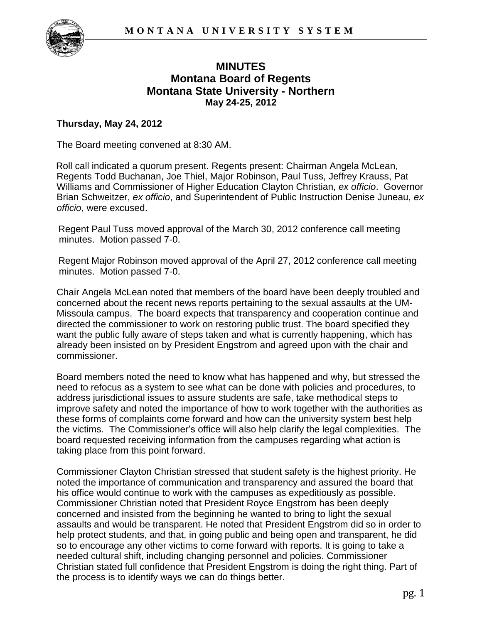

# **MINUTES Montana Board of Regents Montana State University - Northern May 24-25, 2012**

### **Thursday, May 24, 2012**

The Board meeting convened at 8:30 AM.

Roll call indicated a quorum present. Regents present: Chairman Angela McLean, Regents Todd Buchanan, Joe Thiel, Major Robinson, Paul Tuss, Jeffrey Krauss, Pat Williams and Commissioner of Higher Education Clayton Christian, *ex officio*. Governor Brian Schweitzer, *ex officio*, and Superintendent of Public Instruction Denise Juneau, *ex officio*, were excused.

Regent Paul Tuss moved approval of the March 30, 2012 conference call meeting minutes. Motion passed 7-0.

Regent Major Robinson moved approval of the April 27, 2012 conference call meeting minutes. Motion passed 7-0.

Chair Angela McLean noted that members of the board have been deeply troubled and concerned about the recent news reports pertaining to the sexual assaults at the UM-Missoula campus. The board expects that transparency and cooperation continue and directed the commissioner to work on restoring public trust. The board specified they want the public fully aware of steps taken and what is currently happening, which has already been insisted on by President Engstrom and agreed upon with the chair and commissioner.

Board members noted the need to know what has happened and why, but stressed the need to refocus as a system to see what can be done with policies and procedures, to address jurisdictional issues to assure students are safe, take methodical steps to improve safety and noted the importance of how to work together with the authorities as these forms of complaints come forward and how can the university system best help the victims. The Commissioner's office will also help clarify the legal complexities. The board requested receiving information from the campuses regarding what action is taking place from this point forward.

Commissioner Clayton Christian stressed that student safety is the highest priority. He noted the importance of communication and transparency and assured the board that his office would continue to work with the campuses as expeditiously as possible. Commissioner Christian noted that President Royce Engstrom has been deeply concerned and insisted from the beginning he wanted to bring to light the sexual assaults and would be transparent. He noted that President Engstrom did so in order to help protect students, and that, in going public and being open and transparent, he did so to encourage any other victims to come forward with reports. It is going to take a needed cultural shift, including changing personnel and policies. Commissioner Christian stated full confidence that President Engstrom is doing the right thing. Part of the process is to identify ways we can do things better.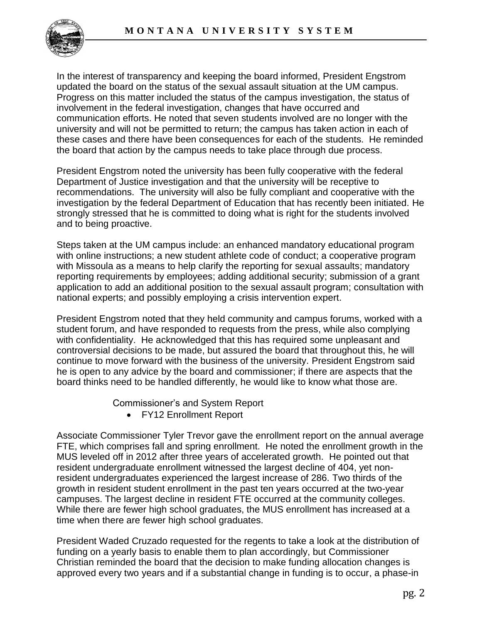

In the interest of transparency and keeping the board informed, President Engstrom updated the board on the status of the sexual assault situation at the UM campus. Progress on this matter included the status of the campus investigation, the status of involvement in the federal investigation, changes that have occurred and communication efforts. He noted that seven students involved are no longer with the university and will not be permitted to return; the campus has taken action in each of these cases and there have been consequences for each of the students. He reminded the board that action by the campus needs to take place through due process.

President Engstrom noted the university has been fully cooperative with the federal Department of Justice investigation and that the university will be receptive to recommendations. The university will also be fully compliant and cooperative with the investigation by the federal Department of Education that has recently been initiated. He strongly stressed that he is committed to doing what is right for the students involved and to being proactive.

Steps taken at the UM campus include: an enhanced mandatory educational program with online instructions; a new student athlete code of conduct; a cooperative program with Missoula as a means to help clarify the reporting for sexual assaults; mandatory reporting requirements by employees; adding additional security; submission of a grant application to add an additional position to the sexual assault program; consultation with national experts; and possibly employing a crisis intervention expert.

President Engstrom noted that they held community and campus forums, worked with a student forum, and have responded to requests from the press, while also complying with confidentiality. He acknowledged that this has required some unpleasant and controversial decisions to be made, but assured the board that throughout this, he will continue to move forward with the business of the university. President Engstrom said he is open to any advice by the board and commissioner; if there are aspects that the board thinks need to be handled differently, he would like to know what those are.

Commissioner's and System Report

FY12 Enrollment Report

Associate Commissioner Tyler Trevor gave the enrollment report on the annual average FTE, which comprises fall and spring enrollment. He noted the enrollment growth in the MUS leveled off in 2012 after three years of accelerated growth. He pointed out that resident undergraduate enrollment witnessed the largest decline of 404, yet nonresident undergraduates experienced the largest increase of 286. Two thirds of the growth in resident student enrollment in the past ten years occurred at the two-year campuses. The largest decline in resident FTE occurred at the community colleges. While there are fewer high school graduates, the MUS enrollment has increased at a time when there are fewer high school graduates.

President Waded Cruzado requested for the regents to take a look at the distribution of funding on a yearly basis to enable them to plan accordingly, but Commissioner Christian reminded the board that the decision to make funding allocation changes is approved every two years and if a substantial change in funding is to occur, a phase-in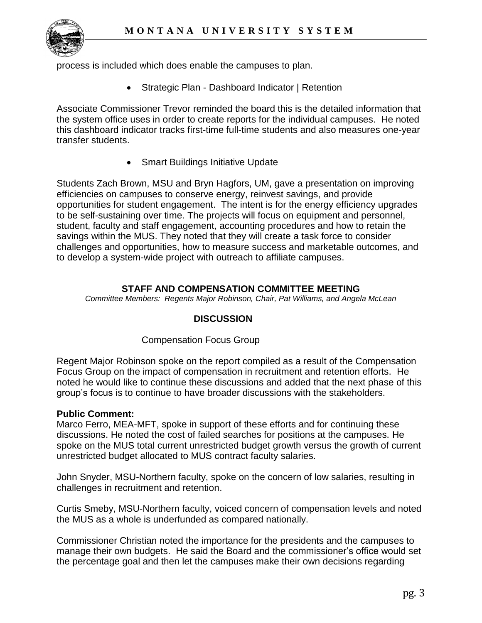

process is included which does enable the campuses to plan.

Strategic Plan - Dashboard Indicator | Retention

Associate Commissioner Trevor reminded the board this is the detailed information that the system office uses in order to create reports for the individual campuses. He noted this dashboard indicator tracks first-time full-time students and also measures one-year transfer students.

• Smart Buildings Initiative Update

Students Zach Brown, MSU and Bryn Hagfors, UM, gave a presentation on improving efficiencies on campuses to conserve energy, reinvest savings, and provide opportunities for student engagement. The intent is for the energy efficiency upgrades to be self-sustaining over time. The projects will focus on equipment and personnel, student, faculty and staff engagement, accounting procedures and how to retain the savings within the MUS. They noted that they will create a task force to consider challenges and opportunities, how to measure success and marketable outcomes, and to develop a system-wide project with outreach to affiliate campuses.

### **STAFF AND COMPENSATION COMMITTEE MEETING**

*Committee Members: Regents Major Robinson, Chair, Pat Williams, and Angela McLean*

### **DISCUSSION**

### Compensation Focus Group

Regent Major Robinson spoke on the report compiled as a result of the Compensation Focus Group on the impact of compensation in recruitment and retention efforts. He noted he would like to continue these discussions and added that the next phase of this group's focus is to continue to have broader discussions with the stakeholders.

### **Public Comment:**

Marco Ferro, MEA-MFT, spoke in support of these efforts and for continuing these discussions. He noted the cost of failed searches for positions at the campuses. He spoke on the MUS total current unrestricted budget growth versus the growth of current unrestricted budget allocated to MUS contract faculty salaries.

John Snyder, MSU-Northern faculty, spoke on the concern of low salaries, resulting in challenges in recruitment and retention.

Curtis Smeby, MSU-Northern faculty, voiced concern of compensation levels and noted the MUS as a whole is underfunded as compared nationally.

Commissioner Christian noted the importance for the presidents and the campuses to manage their own budgets. He said the Board and the commissioner's office would set the percentage goal and then let the campuses make their own decisions regarding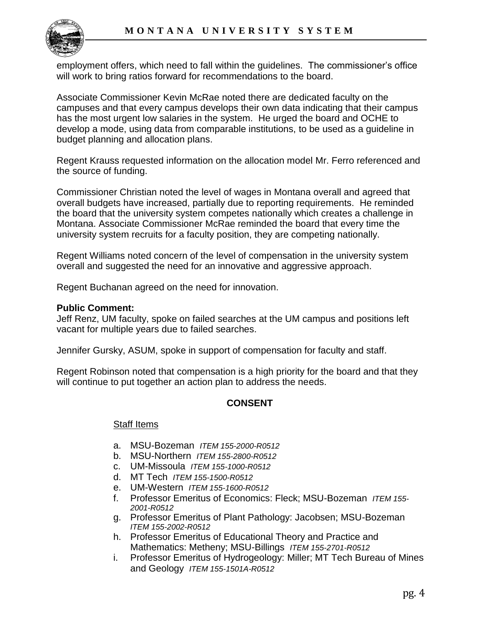

employment offers, which need to fall within the guidelines. The commissioner's office will work to bring ratios forward for recommendations to the board.

Associate Commissioner Kevin McRae noted there are dedicated faculty on the campuses and that every campus develops their own data indicating that their campus has the most urgent low salaries in the system. He urged the board and OCHE to develop a mode, using data from comparable institutions, to be used as a guideline in budget planning and allocation plans.

Regent Krauss requested information on the allocation model Mr. Ferro referenced and the source of funding.

Commissioner Christian noted the level of wages in Montana overall and agreed that overall budgets have increased, partially due to reporting requirements. He reminded the board that the university system competes nationally which creates a challenge in Montana. Associate Commissioner McRae reminded the board that every time the university system recruits for a faculty position, they are competing nationally.

Regent Williams noted concern of the level of compensation in the university system overall and suggested the need for an innovative and aggressive approach.

Regent Buchanan agreed on the need for innovation.

#### **Public Comment:**

Jeff Renz, UM faculty, spoke on failed searches at the UM campus and positions left vacant for multiple years due to failed searches.

Jennifer Gursky, ASUM, spoke in support of compensation for faculty and staff.

Regent Robinson noted that compensation is a high priority for the board and that they will continue to put together an action plan to address the needs.

### **CONSENT**

### Staff Items

- a. MSU-Bozeman *ITEM 155-2000-R0512*
- b. MSU-Northern *ITEM 155-2800-R0512*
- c. UM-Missoula *ITEM 155-1000-R0512*
- d. MT Tech *ITEM 155-1500-R0512*
- e. UM-Western *ITEM 155-1600-R0512*
- f. Professor Emeritus of Economics: Fleck; MSU-Bozeman *ITEM 155- 2001-R0512*
- g. Professor Emeritus of Plant Pathology: Jacobsen; MSU-Bozeman *ITEM 155-2002-R0512*
- h. Professor Emeritus of Educational Theory and Practice and Mathematics: Metheny; MSU-Billings *ITEM 155-2701-R0512*
- i. Professor Emeritus of Hydrogeology: Miller; MT Tech Bureau of Mines and Geology *ITEM 155-1501A-R0512*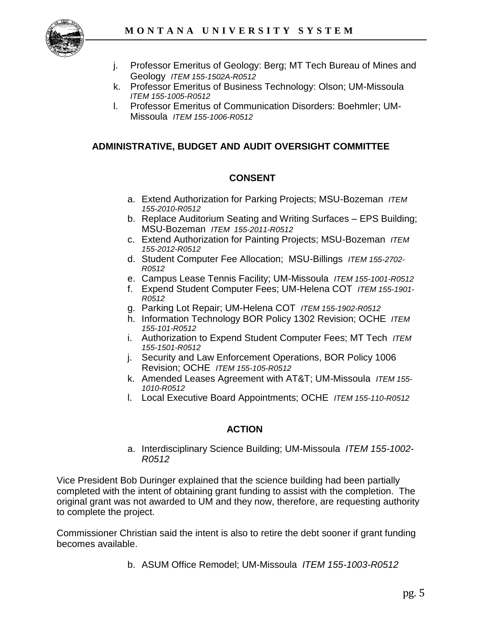

- j. Professor Emeritus of Geology: Berg; MT Tech Bureau of Mines and Geology *ITEM 155-1502A-R0512*
- k. Professor Emeritus of Business Technology: Olson; UM-Missoula *ITEM 155-1005-R0512*
- l. Professor Emeritus of Communication Disorders: Boehmler; UM-Missoula *ITEM 155-1006-R0512*

### **ADMINISTRATIVE, BUDGET AND AUDIT OVERSIGHT COMMITTEE**

### **CONSENT**

- a. Extend Authorization for Parking Projects; MSU-Bozeman *ITEM 155-2010-R0512*
- b. Replace Auditorium Seating and Writing Surfaces EPS Building; MSU-Bozeman *ITEM 155-2011-R0512*
- c. Extend Authorization for Painting Projects; MSU-Bozeman *ITEM 155-2012-R0512*
- d. Student Computer Fee Allocation; MSU-Billings *ITEM 155-2702- R0512*
- e. Campus Lease Tennis Facility; UM-Missoula *ITEM 155-1001-R0512*
- f. Expend Student Computer Fees; UM-Helena COT *ITEM 155-1901- R0512*
- g. Parking Lot Repair; UM-Helena COT *ITEM 155-1902-R0512*
- h. Information Technology BOR Policy 1302 Revision; OCHE *ITEM 155-101-R0512*
- i. Authorization to Expend Student Computer Fees; MT Tech *ITEM 155-1501-R0512*
- j. Security and Law Enforcement Operations, BOR Policy 1006 Revision; OCHE *ITEM 155-105-R0512*
- k. Amended Leases Agreement with AT&T; UM-Missoula *ITEM 155- 1010-R0512*
- l. Local Executive Board Appointments; OCHE *ITEM 155-110-R0512*

# **ACTION**

a. Interdisciplinary Science Building; UM-Missoula *ITEM 155-1002- R0512* 

Vice President Bob Duringer explained that the science building had been partially completed with the intent of obtaining grant funding to assist with the completion. The original grant was not awarded to UM and they now, therefore, are requesting authority to complete the project.

Commissioner Christian said the intent is also to retire the debt sooner if grant funding becomes available.

b. ASUM Office Remodel; UM-Missoula *ITEM 155-1003-R0512*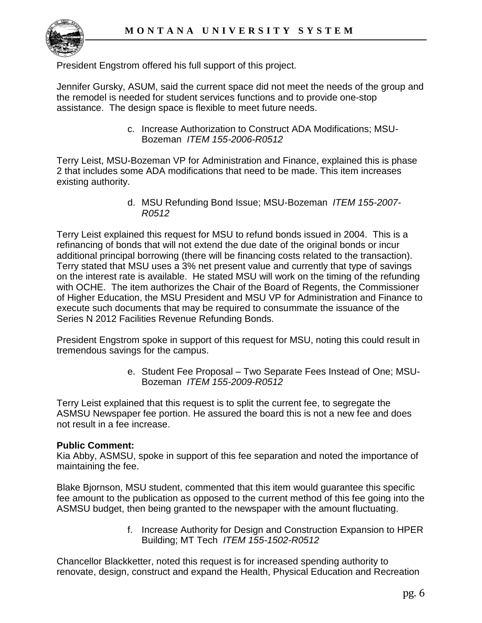

President Engstrom offered his full support of this project.

Jennifer Gursky, ASUM, said the current space did not meet the needs of the group and the remodel is needed for student services functions and to provide one-stop assistance. The design space is flexible to meet future needs.

> c. Increase Authorization to Construct ADA Modifications; MSU-Bozeman *ITEM 155-2006-R0512*

Terry Leist, MSU-Bozeman VP for Administration and Finance, explained this is phase 2 that includes some ADA modifications that need to be made. This item increases existing authority.

> d. MSU Refunding Bond Issue; MSU-Bozeman *ITEM 155-2007- R0512*

Terry Leist explained this request for MSU to refund bonds issued in 2004. This is a refinancing of bonds that will not extend the due date of the original bonds or incur additional principal borrowing (there will be financing costs related to the transaction). Terry stated that MSU uses a 3% net present value and currently that type of savings on the interest rate is available. He stated MSU will work on the timing of the refunding with OCHE. The item authorizes the Chair of the Board of Regents, the Commissioner of Higher Education, the MSU President and MSU VP for Administration and Finance to execute such documents that may be required to consummate the issuance of the Series N 2012 Facilities Revenue Refunding Bonds.

President Engstrom spoke in support of this request for MSU, noting this could result in tremendous savings for the campus.

> e. Student Fee Proposal – Two Separate Fees Instead of One; MSU-Bozeman *ITEM 155-2009-R0512*

Terry Leist explained that this request is to split the current fee, to segregate the ASMSU Newspaper fee portion. He assured the board this is not a new fee and does not result in a fee increase.

### **Public Comment:**

Kia Abby, ASMSU, spoke in support of this fee separation and noted the importance of maintaining the fee.

Blake Bjornson, MSU student, commented that this item would guarantee this specific fee amount to the publication as opposed to the current method of this fee going into the ASMSU budget, then being granted to the newspaper with the amount fluctuating.

> f. Increase Authority for Design and Construction Expansion to HPER Building; MT Tech *ITEM 155-1502-R0512*

Chancellor Blackketter, noted this request is for increased spending authority to renovate, design, construct and expand the Health, Physical Education and Recreation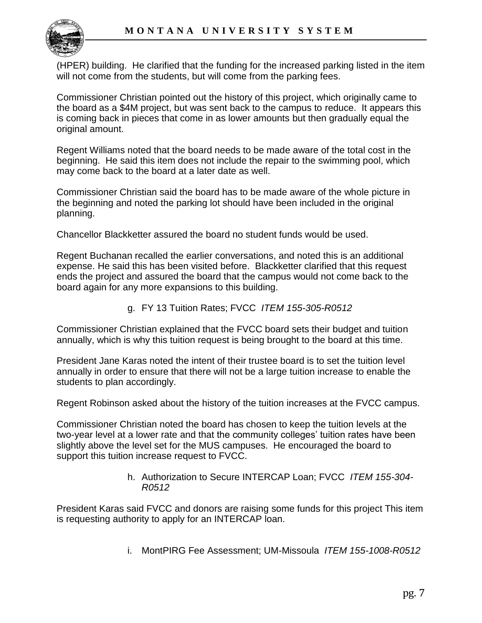

(HPER) building. He clarified that the funding for the increased parking listed in the item will not come from the students, but will come from the parking fees.

Commissioner Christian pointed out the history of this project, which originally came to the board as a \$4M project, but was sent back to the campus to reduce. It appears this is coming back in pieces that come in as lower amounts but then gradually equal the original amount.

Regent Williams noted that the board needs to be made aware of the total cost in the beginning. He said this item does not include the repair to the swimming pool, which may come back to the board at a later date as well.

Commissioner Christian said the board has to be made aware of the whole picture in the beginning and noted the parking lot should have been included in the original planning.

Chancellor Blackketter assured the board no student funds would be used.

Regent Buchanan recalled the earlier conversations, and noted this is an additional expense. He said this has been visited before. Blackketter clarified that this request ends the project and assured the board that the campus would not come back to the board again for any more expansions to this building.

g. FY 13 Tuition Rates; FVCC *ITEM 155-305-R0512* 

Commissioner Christian explained that the FVCC board sets their budget and tuition annually, which is why this tuition request is being brought to the board at this time.

President Jane Karas noted the intent of their trustee board is to set the tuition level annually in order to ensure that there will not be a large tuition increase to enable the students to plan accordingly.

Regent Robinson asked about the history of the tuition increases at the FVCC campus.

Commissioner Christian noted the board has chosen to keep the tuition levels at the two-year level at a lower rate and that the community colleges' tuition rates have been slightly above the level set for the MUS campuses. He encouraged the board to support this tuition increase request to FVCC.

> h. Authorization to Secure INTERCAP Loan; FVCC *ITEM 155-304- R0512*

President Karas said FVCC and donors are raising some funds for this project This item is requesting authority to apply for an INTERCAP loan.

i. MontPIRG Fee Assessment; UM-Missoula *ITEM 155-1008-R0512*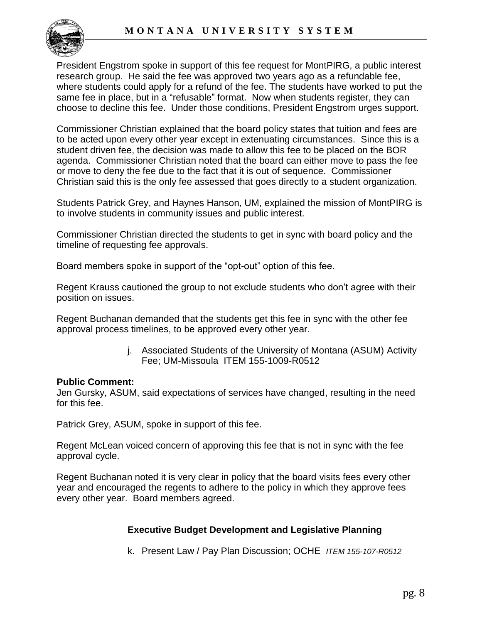

President Engstrom spoke in support of this fee request for MontPIRG, a public interest research group. He said the fee was approved two years ago as a refundable fee, where students could apply for a refund of the fee. The students have worked to put the same fee in place, but in a "refusable" format. Now when students register, they can choose to decline this fee. Under those conditions, President Engstrom urges support.

Commissioner Christian explained that the board policy states that tuition and fees are to be acted upon every other year except in extenuating circumstances. Since this is a student driven fee, the decision was made to allow this fee to be placed on the BOR agenda. Commissioner Christian noted that the board can either move to pass the fee or move to deny the fee due to the fact that it is out of sequence. Commissioner Christian said this is the only fee assessed that goes directly to a student organization.

Students Patrick Grey, and Haynes Hanson, UM, explained the mission of MontPIRG is to involve students in community issues and public interest.

Commissioner Christian directed the students to get in sync with board policy and the timeline of requesting fee approvals.

Board members spoke in support of the "opt-out" option of this fee.

Regent Krauss cautioned the group to not exclude students who don't agree with their position on issues.

Regent Buchanan demanded that the students get this fee in sync with the other fee approval process timelines, to be approved every other year.

> j. Associated Students of the University of Montana (ASUM) Activity Fee; UM-Missoula [ITEM 155-1009-R0512](http://www.mus.edu/board/meetings/2012/May2012/AdminBudget/155-1009-R0512.pdf)

#### **Public Comment:**

Jen Gursky, ASUM, said expectations of services have changed, resulting in the need for this fee.

Patrick Grey, ASUM, spoke in support of this fee.

Regent McLean voiced concern of approving this fee that is not in sync with the fee approval cycle.

Regent Buchanan noted it is very clear in policy that the board visits fees every other year and encouraged the regents to adhere to the policy in which they approve fees every other year. Board members agreed.

### **Executive Budget Development and Legislative Planning**

k. Present Law / Pay Plan Discussion; OCHE *ITEM 155-107-R0512*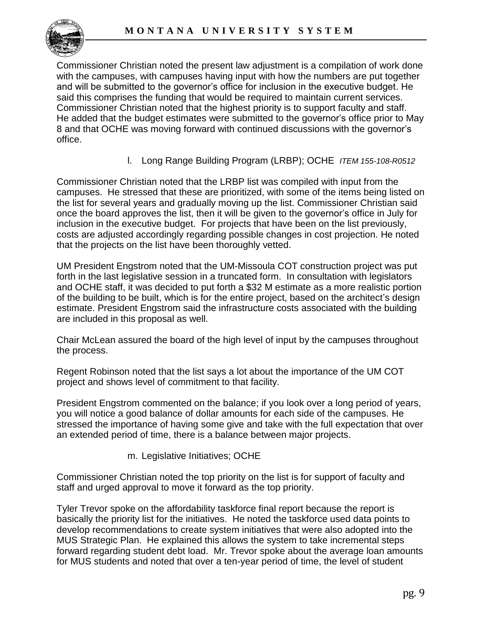

Commissioner Christian noted the present law adjustment is a compilation of work done with the campuses, with campuses having input with how the numbers are put together and will be submitted to the governor's office for inclusion in the executive budget. He said this comprises the funding that would be required to maintain current services. Commissioner Christian noted that the highest priority is to support faculty and staff. He added that the budget estimates were submitted to the governor's office prior to May 8 and that OCHE was moving forward with continued discussions with the governor's office.

l. Long Range Building Program (LRBP); OCHE *ITEM 155-108-R0512*

Commissioner Christian noted that the LRBP list was compiled with input from the campuses. He stressed that these are prioritized, with some of the items being listed on the list for several years and gradually moving up the list. Commissioner Christian said once the board approves the list, then it will be given to the governor's office in July for inclusion in the executive budget. For projects that have been on the list previously, costs are adjusted accordingly regarding possible changes in cost projection. He noted that the projects on the list have been thoroughly vetted.

UM President Engstrom noted that the UM-Missoula COT construction project was put forth in the last legislative session in a truncated form. In consultation with legislators and OCHE staff, it was decided to put forth a \$32 M estimate as a more realistic portion of the building to be built, which is for the entire project, based on the architect's design estimate. President Engstrom said the infrastructure costs associated with the building are included in this proposal as well.

Chair McLean assured the board of the high level of input by the campuses throughout the process.

Regent Robinson noted that the list says a lot about the importance of the UM COT project and shows level of commitment to that facility.

President Engstrom commented on the balance; if you look over a long period of years, you will notice a good balance of dollar amounts for each side of the campuses. He stressed the importance of having some give and take with the full expectation that over an extended period of time, there is a balance between major projects.

m. Legislative Initiatives; OCHE

Commissioner Christian noted the top priority on the list is for support of faculty and staff and urged approval to move it forward as the top priority.

Tyler Trevor spoke on the affordability taskforce final report because the report is basically the priority list for the initiatives. He noted the taskforce used data points to develop recommendations to create system initiatives that were also adopted into the MUS Strategic Plan. He explained this allows the system to take incremental steps forward regarding student debt load. Mr. Trevor spoke about the average loan amounts for MUS students and noted that over a ten-year period of time, the level of student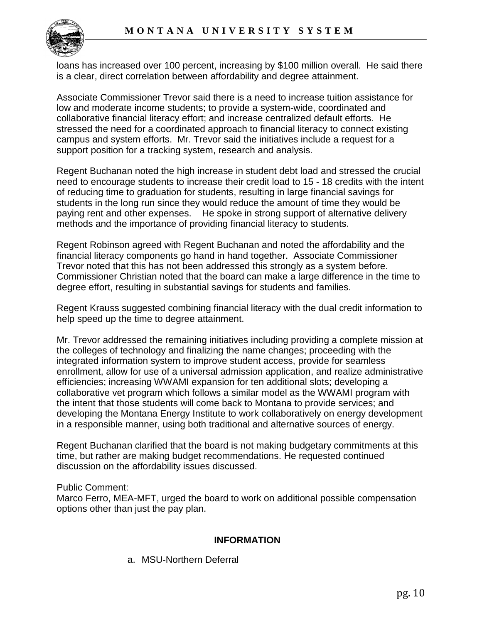

loans has increased over 100 percent, increasing by \$100 million overall. He said there is a clear, direct correlation between affordability and degree attainment.

Associate Commissioner Trevor said there is a need to increase tuition assistance for low and moderate income students; to provide a system-wide, coordinated and collaborative financial literacy effort; and increase centralized default efforts. He stressed the need for a coordinated approach to financial literacy to connect existing campus and system efforts. Mr. Trevor said the initiatives include a request for a support position for a tracking system, research and analysis.

Regent Buchanan noted the high increase in student debt load and stressed the crucial need to encourage students to increase their credit load to 15 - 18 credits with the intent of reducing time to graduation for students, resulting in large financial savings for students in the long run since they would reduce the amount of time they would be paying rent and other expenses. He spoke in strong support of alternative delivery methods and the importance of providing financial literacy to students.

Regent Robinson agreed with Regent Buchanan and noted the affordability and the financial literacy components go hand in hand together. Associate Commissioner Trevor noted that this has not been addressed this strongly as a system before. Commissioner Christian noted that the board can make a large difference in the time to degree effort, resulting in substantial savings for students and families.

Regent Krauss suggested combining financial literacy with the dual credit information to help speed up the time to degree attainment.

Mr. Trevor addressed the remaining initiatives including providing a complete mission at the colleges of technology and finalizing the name changes; proceeding with the integrated information system to improve student access, provide for seamless enrollment, allow for use of a universal admission application, and realize administrative efficiencies; increasing WWAMI expansion for ten additional slots; developing a collaborative vet program which follows a similar model as the WWAMI program with the intent that those students will come back to Montana to provide services; and developing the Montana Energy Institute to work collaboratively on energy development in a responsible manner, using both traditional and alternative sources of energy.

Regent Buchanan clarified that the board is not making budgetary commitments at this time, but rather are making budget recommendations. He requested continued discussion on the affordability issues discussed.

Public Comment:

Marco Ferro, MEA-MFT, urged the board to work on additional possible compensation options other than just the pay plan.

### **INFORMATION**

a. MSU-Northern Deferral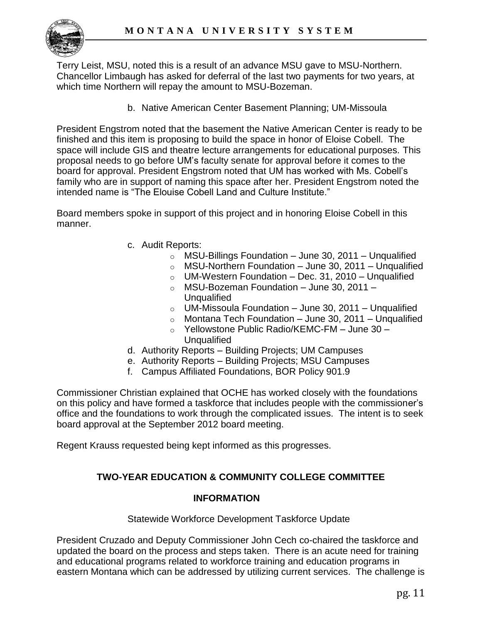

Terry Leist, MSU, noted this is a result of an advance MSU gave to MSU-Northern. Chancellor Limbaugh has asked for deferral of the last two payments for two years, at which time Northern will repay the amount to MSU-Bozeman.

b. Native American Center Basement Planning; UM-Missoula

President Engstrom noted that the basement the Native American Center is ready to be finished and this item is proposing to build the space in honor of Eloise Cobell. The space will include GIS and theatre lecture arrangements for educational purposes. This proposal needs to go before UM's faculty senate for approval before it comes to the board for approval. President Engstrom noted that UM has worked with Ms. Cobell's family who are in support of naming this space after her. President Engstrom noted the intended name is "The Elouise Cobell Land and Culture Institute."

Board members spoke in support of this project and in honoring Eloise Cobell in this manner.

- c. Audit Reports:
	- $\circ$  MSU-Billings Foundation June 30, 2011 Unqualified
	- $\circ$  MSU-Northern Foundation June 30, 2011 Unqualified
	- $\circ$  UM-Western Foundation Dec. 31, 2010 Unqualified
	- $\circ$  MSU-Bozeman Foundation June 30, 2011 Unqualified
	- $\circ$  UM-Missoula Foundation June 30, 2011 Unqualified
	- $\circ$  Montana Tech Foundation June 30, 2011 Unqualified
	- o Yellowstone Public Radio/KEMC-FM June 30 Unqualified
- d. Authority Reports Building Projects; UM Campuses
- e. Authority Reports Building Projects; MSU Campuses
- f. Campus Affiliated Foundations, BOR Policy 901.9

Commissioner Christian explained that OCHE has worked closely with the foundations on this policy and have formed a taskforce that includes people with the commissioner's office and the foundations to work through the complicated issues. The intent is to seek board approval at the September 2012 board meeting.

Regent Krauss requested being kept informed as this progresses.

# **TWO-YEAR EDUCATION & COMMUNITY COLLEGE COMMITTEE**

### **INFORMATION**

#### Statewide Workforce Development Taskforce Update

President Cruzado and Deputy Commissioner John Cech co-chaired the taskforce and updated the board on the process and steps taken. There is an acute need for training and educational programs related to workforce training and education programs in eastern Montana which can be addressed by utilizing current services. The challenge is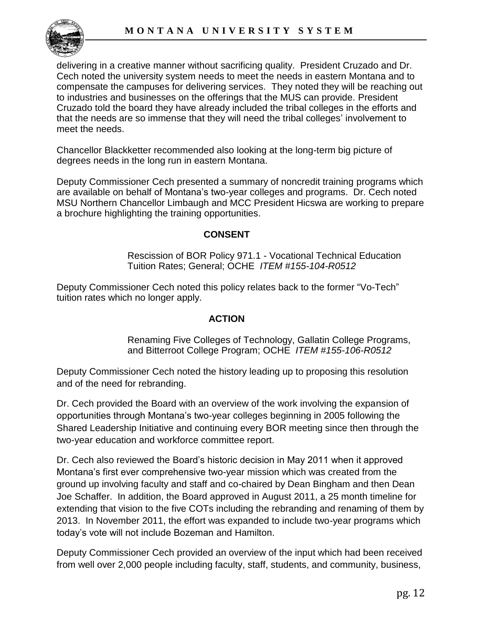delivering in a creative manner without sacrificing quality. President Cruzado and Dr. Cech noted the university system needs to meet the needs in eastern Montana and to compensate the campuses for delivering services. They noted they will be reaching out to industries and businesses on the offerings that the MUS can provide. President Cruzado told the board they have already included the tribal colleges in the efforts and that the needs are so immense that they will need the tribal colleges' involvement to meet the needs.

Chancellor Blackketter recommended also looking at the long-term big picture of degrees needs in the long run in eastern Montana.

Deputy Commissioner Cech presented a summary of noncredit training programs which are available on behalf of Montana's two-year colleges and programs. Dr. Cech noted MSU Northern Chancellor Limbaugh and MCC President Hicswa are working to prepare a brochure highlighting the training opportunities.

### **CONSENT**

Rescission of BOR Policy 971.1 - Vocational Technical Education Tuition Rates; General; OCHE *ITEM #155-104-R0512* 

Deputy Commissioner Cech noted this policy relates back to the former "Vo-Tech" tuition rates which no longer apply.

### **ACTION**

Renaming Five Colleges of Technology, Gallatin College Programs, and Bitterroot College Program; OCHE *ITEM #155-106-R0512*

Deputy Commissioner Cech noted the history leading up to proposing this resolution and of the need for rebranding.

Dr. Cech provided the Board with an overview of the work involving the expansion of opportunities through Montana's two-year colleges beginning in 2005 following the Shared Leadership Initiative and continuing every BOR meeting since then through the two-year education and workforce committee report.

Dr. Cech also reviewed the Board's historic decision in May 2011 when it approved Montana's first ever comprehensive two-year mission which was created from the ground up involving faculty and staff and co-chaired by Dean Bingham and then Dean Joe Schaffer. In addition, the Board approved in August 2011, a 25 month timeline for extending that vision to the five COTs including the rebranding and renaming of them by 2013. In November 2011, the effort was expanded to include two-year programs which today's vote will not include Bozeman and Hamilton.

Deputy Commissioner Cech provided an overview of the input which had been received from well over 2,000 people including faculty, staff, students, and community, business,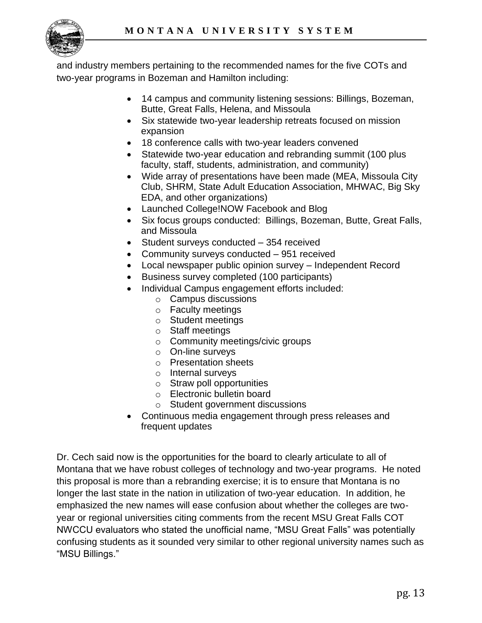

and industry members pertaining to the recommended names for the five COTs and two-year programs in Bozeman and Hamilton including:

- 14 campus and community listening sessions: Billings, Bozeman, Butte, Great Falls, Helena, and Missoula
- Six statewide two-year leadership retreats focused on mission expansion
- 18 conference calls with two-year leaders convened
- Statewide two-year education and rebranding summit (100 plus faculty, staff, students, administration, and community)
- Wide array of presentations have been made (MEA, Missoula City Club, SHRM, State Adult Education Association, MHWAC, Big Sky EDA, and other organizations)
- Launched College!NOW Facebook and Blog
- Six focus groups conducted: Billings, Bozeman, Butte, Great Falls, and Missoula
- Student surveys conducted 354 received
- Community surveys conducted 951 received
- Local newspaper public opinion survey Independent Record
- Business survey completed (100 participants)
- Individual Campus engagement efforts included:
	- o Campus discussions
	- o Faculty meetings
	- o Student meetings
	- o Staff meetings
	- o Community meetings/civic groups
	- o On-line surveys
	- o Presentation sheets
	- o Internal surveys
	- o Straw poll opportunities
	- o Electronic bulletin board
	- o Student government discussions
- Continuous media engagement through press releases and frequent updates

Dr. Cech said now is the opportunities for the board to clearly articulate to all of Montana that we have robust colleges of technology and two-year programs. He noted this proposal is more than a rebranding exercise; it is to ensure that Montana is no longer the last state in the nation in utilization of two-year education. In addition, he emphasized the new names will ease confusion about whether the colleges are twoyear or regional universities citing comments from the recent MSU Great Falls COT NWCCU evaluators who stated the unofficial name, "MSU Great Falls" was potentially confusing students as it sounded very similar to other regional university names such as "MSU Billings."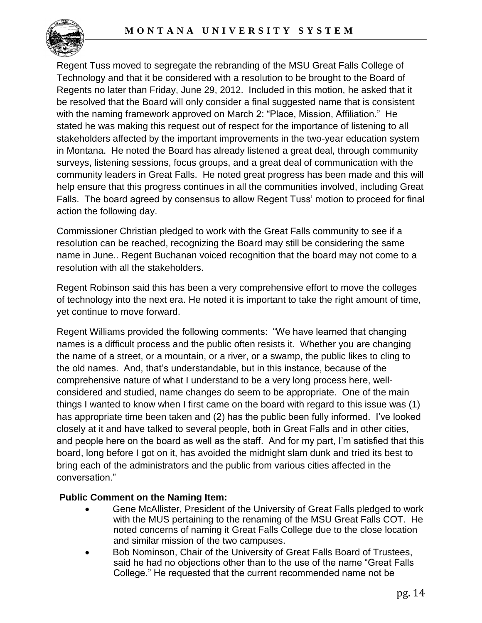

Regent Tuss moved to segregate the rebranding of the MSU Great Falls College of Technology and that it be considered with a resolution to be brought to the Board of Regents no later than Friday, June 29, 2012. Included in this motion, he asked that it be resolved that the Board will only consider a final suggested name that is consistent with the naming framework approved on March 2: "Place, Mission, Affiliation." He stated he was making this request out of respect for the importance of listening to all stakeholders affected by the important improvements in the two-year education system in Montana. He noted the Board has already listened a great deal, through community surveys, listening sessions, focus groups, and a great deal of communication with the community leaders in Great Falls. He noted great progress has been made and this will help ensure that this progress continues in all the communities involved, including Great Falls. The board agreed by consensus to allow Regent Tuss' motion to proceed for final action the following day.

Commissioner Christian pledged to work with the Great Falls community to see if a resolution can be reached, recognizing the Board may still be considering the same name in June.. Regent Buchanan voiced recognition that the board may not come to a resolution with all the stakeholders.

Regent Robinson said this has been a very comprehensive effort to move the colleges of technology into the next era. He noted it is important to take the right amount of time, yet continue to move forward.

Regent Williams provided the following comments: "We have learned that changing names is a difficult process and the public often resists it. Whether you are changing the name of a street, or a mountain, or a river, or a swamp, the public likes to cling to the old names. And, that's understandable, but in this instance, because of the comprehensive nature of what I understand to be a very long process here, wellconsidered and studied, name changes do seem to be appropriate. One of the main things I wanted to know when I first came on the board with regard to this issue was (1) has appropriate time been taken and (2) has the public been fully informed. I've looked closely at it and have talked to several people, both in Great Falls and in other cities, and people here on the board as well as the staff. And for my part, I'm satisfied that this board, long before I got on it, has avoided the midnight slam dunk and tried its best to bring each of the administrators and the public from various cities affected in the conversation."

# **Public Comment on the Naming Item:**

- Gene McAllister, President of the University of Great Falls pledged to work with the MUS pertaining to the renaming of the MSU Great Falls COT. He noted concerns of naming it Great Falls College due to the close location and similar mission of the two campuses.
- Bob Nominson, Chair of the University of Great Falls Board of Trustees, said he had no objections other than to the use of the name "Great Falls College." He requested that the current recommended name not be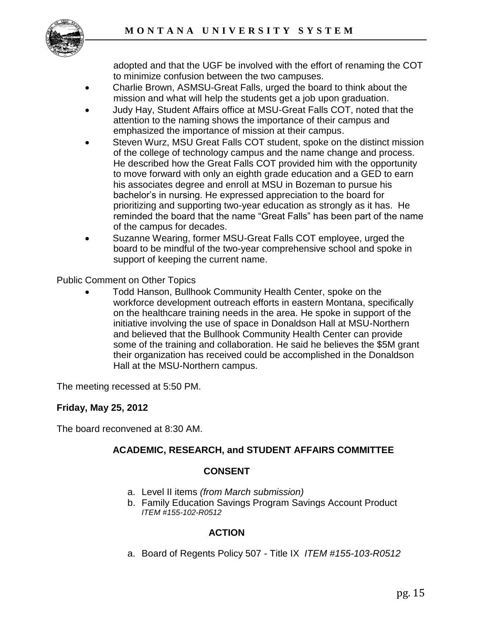

adopted and that the UGF be involved with the effort of renaming the COT to minimize confusion between the two campuses.

- Charlie Brown, ASMSU-Great Falls, urged the board to think about the mission and what will help the students get a job upon graduation.
- Judy Hay, Student Affairs office at MSU-Great Falls COT, noted that the attention to the naming shows the importance of their campus and emphasized the importance of mission at their campus.
- Steven Wurz, MSU Great Falls COT student, spoke on the distinct mission of the college of technology campus and the name change and process. He described how the Great Falls COT provided him with the opportunity to move forward with only an eighth grade education and a GED to earn his associates degree and enroll at MSU in Bozeman to pursue his bachelor's in nursing. He expressed appreciation to the board for prioritizing and supporting two-year education as strongly as it has. He reminded the board that the name "Great Falls" has been part of the name of the campus for decades.
- Suzanne Wearing, former MSU-Great Falls COT employee, urged the board to be mindful of the two-year comprehensive school and spoke in support of keeping the current name.

Public Comment on Other Topics

 Todd Hanson, Bullhook Community Health Center, spoke on the workforce development outreach efforts in eastern Montana, specifically on the healthcare training needs in the area. He spoke in support of the initiative involving the use of space in Donaldson Hall at MSU-Northern and believed that the Bullhook Community Health Center can provide some of the training and collaboration. He said he believes the \$5M grant their organization has received could be accomplished in the Donaldson Hall at the MSU-Northern campus.

The meeting recessed at 5:50 PM.

# **Friday, May 25, 2012**

The board reconvened at 8:30 AM.

# **ACADEMIC, RESEARCH, and STUDENT AFFAIRS COMMITTEE**

# **CONSENT**

- a. Level II items *(from March submission)*
- b. Family Education Savings Program Savings Account Product *ITEM #155-102-R0512*

# **ACTION**

a. Board of Regents Policy 507 - Title IX *ITEM #155-103-R0512*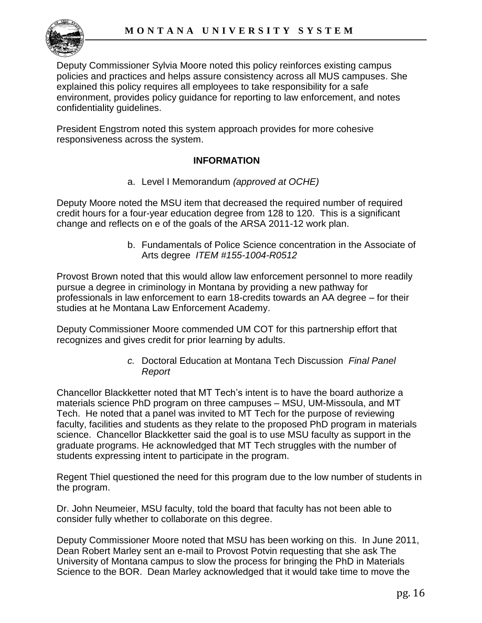

Deputy Commissioner Sylvia Moore noted this policy reinforces existing campus policies and practices and helps assure consistency across all MUS campuses. She explained this policy requires all employees to take responsibility for a safe environment, provides policy guidance for reporting to law enforcement, and notes confidentiality guidelines.

President Engstrom noted this system approach provides for more cohesive responsiveness across the system.

# **INFORMATION**

a. Level I Memorandum *(approved at OCHE)*

Deputy Moore noted the MSU item that decreased the required number of required credit hours for a four-year education degree from 128 to 120. This is a significant change and reflects on e of the goals of the ARSA 2011-12 work plan.

> b. Fundamentals of Police Science concentration in the Associate of Arts degree *ITEM #155-1004-R0512*

Provost Brown noted that this would allow law enforcement personnel to more readily pursue a degree in criminology in Montana by providing a new pathway for professionals in law enforcement to earn 18-credits towards an AA degree – for their studies at he Montana Law Enforcement Academy.

Deputy Commissioner Moore commended UM COT for this partnership effort that recognizes and gives credit for prior learning by adults.

> *c.* Doctoral Education at Montana Tech Discussion *Final Panel Report*

Chancellor Blackketter noted that MT Tech's intent is to have the board authorize a materials science PhD program on three campuses – MSU, UM-Missoula, and MT Tech. He noted that a panel was invited to MT Tech for the purpose of reviewing faculty, facilities and students as they relate to the proposed PhD program in materials science. Chancellor Blackketter said the goal is to use MSU faculty as support in the graduate programs. He acknowledged that MT Tech struggles with the number of students expressing intent to participate in the program.

Regent Thiel questioned the need for this program due to the low number of students in the program.

Dr. John Neumeier, MSU faculty, told the board that faculty has not been able to consider fully whether to collaborate on this degree.

Deputy Commissioner Moore noted that MSU has been working on this. In June 2011, Dean Robert Marley sent an e-mail to Provost Potvin requesting that she ask The University of Montana campus to slow the process for bringing the PhD in Materials Science to the BOR. Dean Marley acknowledged that it would take time to move the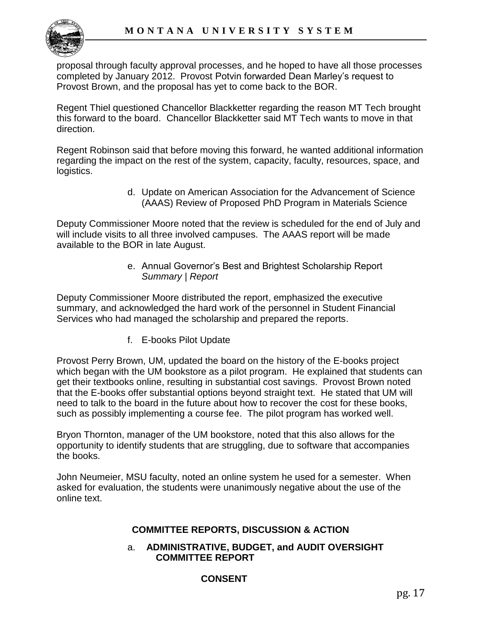proposal through faculty approval processes, and he hoped to have all those processes completed by January 2012. Provost Potvin forwarded Dean Marley's request to Provost Brown, and the proposal has yet to come back to the BOR.

Regent Thiel questioned Chancellor Blackketter regarding the reason MT Tech brought this forward to the board. Chancellor Blackketter said MT Tech wants to move in that direction.

Regent Robinson said that before moving this forward, he wanted additional information regarding the impact on the rest of the system, capacity, faculty, resources, space, and logistics.

> d. Update on American Association for the Advancement of Science (AAAS) Review of Proposed PhD Program in Materials Science

Deputy Commissioner Moore noted that the review is scheduled for the end of July and will include visits to all three involved campuses. The AAAS report will be made available to the BOR in late August.

> e. Annual Governor's Best and Brightest Scholarship Report *Summary | Report*

Deputy Commissioner Moore distributed the report, emphasized the executive summary, and acknowledged the hard work of the personnel in Student Financial Services who had managed the scholarship and prepared the reports.

f. E-books Pilot Update

Provost Perry Brown, UM, updated the board on the history of the E-books project which began with the UM bookstore as a pilot program. He explained that students can get their textbooks online, resulting in substantial cost savings. Provost Brown noted that the E-books offer substantial options beyond straight text. He stated that UM will need to talk to the board in the future about how to recover the cost for these books, such as possibly implementing a course fee. The pilot program has worked well.

Bryon Thornton, manager of the UM bookstore, noted that this also allows for the opportunity to identify students that are struggling, due to software that accompanies the books.

John Neumeier, MSU faculty, noted an online system he used for a semester. When asked for evaluation, the students were unanimously negative about the use of the online text.

# **COMMITTEE REPORTS, DISCUSSION & ACTION**

### a. **ADMINISTRATIVE, BUDGET, and AUDIT OVERSIGHT COMMITTEE REPORT**

# **CONSENT**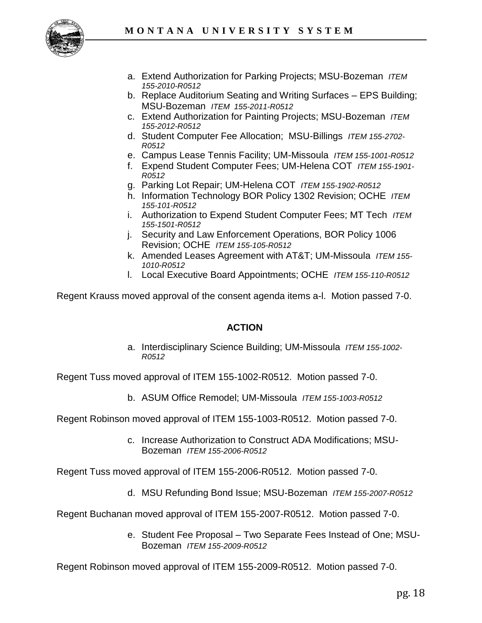

- a. Extend Authorization for Parking Projects; MSU-Bozeman *ITEM 155-2010-R0512*
- b. Replace Auditorium Seating and Writing Surfaces EPS Building; MSU-Bozeman *ITEM 155-2011-R0512*
- c. Extend Authorization for Painting Projects; MSU-Bozeman *ITEM 155-2012-R0512*
- d. Student Computer Fee Allocation; MSU-Billings *ITEM 155-2702- R0512*
- e. Campus Lease Tennis Facility; UM-Missoula *ITEM 155-1001-R0512*
- f. Expend Student Computer Fees; UM-Helena COT *ITEM 155-1901- R0512*
- g. Parking Lot Repair; UM-Helena COT *ITEM 155-1902-R0512*
- h. Information Technology BOR Policy 1302 Revision; OCHE *ITEM 155-101-R0512*
- i. Authorization to Expend Student Computer Fees; MT Tech *ITEM 155-1501-R0512*
- j. Security and Law Enforcement Operations, BOR Policy 1006 Revision; OCHE *ITEM 155-105-R0512*
- k. Amended Leases Agreement with AT&T; UM-Missoula *ITEM 155- 1010-R0512*
- l. Local Executive Board Appointments; OCHE *ITEM 155-110-R0512*

Regent Krauss moved approval of the consent agenda items a-l. Motion passed 7-0.

### **ACTION**

a. Interdisciplinary Science Building; UM-Missoula *ITEM 155-1002- R0512* 

Regent Tuss moved approval of ITEM 155-1002-R0512. Motion passed 7-0.

b. ASUM Office Remodel; UM-Missoula *ITEM 155-1003-R0512* 

Regent Robinson moved approval of ITEM 155-1003-R0512. Motion passed 7-0.

c. Increase Authorization to Construct ADA Modifications; MSU-Bozeman *ITEM 155-2006-R0512*

Regent Tuss moved approval of ITEM 155-2006-R0512. Motion passed 7-0.

d. MSU Refunding Bond Issue; MSU-Bozeman *ITEM 155-2007-R0512*

Regent Buchanan moved approval of ITEM 155-2007-R0512. Motion passed 7-0.

e. Student Fee Proposal – Two Separate Fees Instead of One; MSU-Bozeman *ITEM 155-2009-R0512*

Regent Robinson moved approval of ITEM 155-2009-R0512. Motion passed 7-0.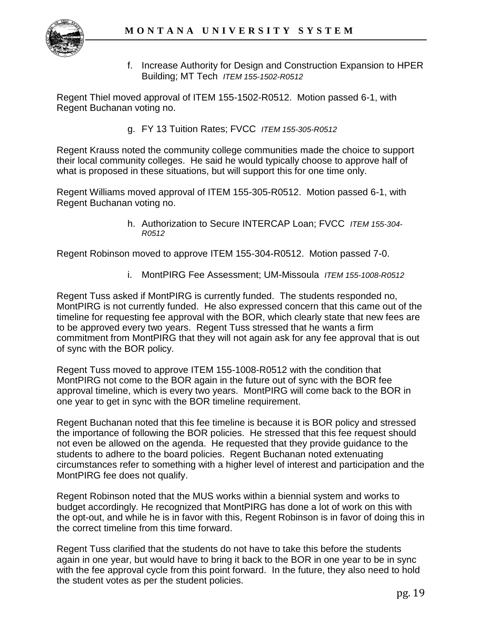

f. Increase Authority for Design and Construction Expansion to HPER Building; MT Tech *ITEM 155-1502-R0512*

Regent Thiel moved approval of ITEM 155-1502-R0512. Motion passed 6-1, with Regent Buchanan voting no.

g. FY 13 Tuition Rates; FVCC *ITEM 155-305-R0512* 

Regent Krauss noted the community college communities made the choice to support their local community colleges. He said he would typically choose to approve half of what is proposed in these situations, but will support this for one time only.

Regent Williams moved approval of ITEM 155-305-R0512. Motion passed 6-1, with Regent Buchanan voting no.

> h. Authorization to Secure INTERCAP Loan; FVCC *ITEM 155-304- R0512*

Regent Robinson moved to approve ITEM 155-304-R0512. Motion passed 7-0.

i. MontPIRG Fee Assessment; UM-Missoula *ITEM 155-1008-R0512*

Regent Tuss asked if MontPIRG is currently funded. The students responded no, MontPIRG is not currently funded. He also expressed concern that this came out of the timeline for requesting fee approval with the BOR, which clearly state that new fees are to be approved every two years. Regent Tuss stressed that he wants a firm commitment from MontPIRG that they will not again ask for any fee approval that is out of sync with the BOR policy.

Regent Tuss moved to approve ITEM 155-1008-R0512 with the condition that MontPIRG not come to the BOR again in the future out of sync with the BOR fee approval timeline, which is every two years. MontPIRG will come back to the BOR in one year to get in sync with the BOR timeline requirement.

Regent Buchanan noted that this fee timeline is because it is BOR policy and stressed the importance of following the BOR policies. He stressed that this fee request should not even be allowed on the agenda. He requested that they provide guidance to the students to adhere to the board policies. Regent Buchanan noted extenuating circumstances refer to something with a higher level of interest and participation and the MontPIRG fee does not qualify.

Regent Robinson noted that the MUS works within a biennial system and works to budget accordingly. He recognized that MontPIRG has done a lot of work on this with the opt-out, and while he is in favor with this, Regent Robinson is in favor of doing this in the correct timeline from this time forward.

Regent Tuss clarified that the students do not have to take this before the students again in one year, but would have to bring it back to the BOR in one year to be in sync with the fee approval cycle from this point forward. In the future, they also need to hold the student votes as per the student policies.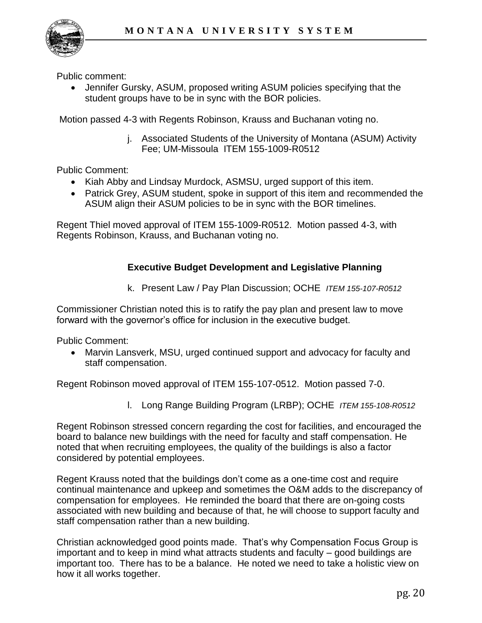

Public comment:

 Jennifer Gursky, ASUM, proposed writing ASUM policies specifying that the student groups have to be in sync with the BOR policies.

Motion passed 4-3 with Regents Robinson, Krauss and Buchanan voting no.

j. Associated Students of the University of Montana (ASUM) Activity Fee; UM-Missoula [ITEM 155-1009-R0512](http://www.mus.edu/board/meetings/2012/May2012/AdminBudget/155-1009-R0512.pdf)

Public Comment:

- Kiah Abby and Lindsay Murdock, ASMSU, urged support of this item.
- Patrick Grey, ASUM student, spoke in support of this item and recommended the ASUM align their ASUM policies to be in sync with the BOR timelines.

Regent Thiel moved approval of ITEM 155-1009-R0512. Motion passed 4-3, with Regents Robinson, Krauss, and Buchanan voting no.

### **Executive Budget Development and Legislative Planning**

k. Present Law / Pay Plan Discussion; OCHE *ITEM 155-107-R0512*

Commissioner Christian noted this is to ratify the pay plan and present law to move forward with the governor's office for inclusion in the executive budget.

Public Comment:

 Marvin Lansverk, MSU, urged continued support and advocacy for faculty and staff compensation.

Regent Robinson moved approval of ITEM 155-107-0512. Motion passed 7-0.

l. Long Range Building Program (LRBP); OCHE *ITEM 155-108-R0512*

Regent Robinson stressed concern regarding the cost for facilities, and encouraged the board to balance new buildings with the need for faculty and staff compensation. He noted that when recruiting employees, the quality of the buildings is also a factor considered by potential employees.

Regent Krauss noted that the buildings don't come as a one-time cost and require continual maintenance and upkeep and sometimes the O&M adds to the discrepancy of compensation for employees. He reminded the board that there are on-going costs associated with new building and because of that, he will choose to support faculty and staff compensation rather than a new building.

Christian acknowledged good points made. That's why Compensation Focus Group is important and to keep in mind what attracts students and faculty – good buildings are important too. There has to be a balance. He noted we need to take a holistic view on how it all works together.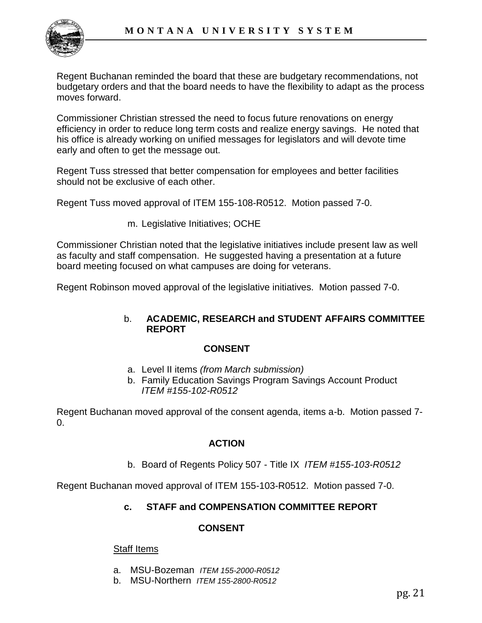Regent Buchanan reminded the board that these are budgetary recommendations, not budgetary orders and that the board needs to have the flexibility to adapt as the process moves forward.

Commissioner Christian stressed the need to focus future renovations on energy efficiency in order to reduce long term costs and realize energy savings. He noted that his office is already working on unified messages for legislators and will devote time early and often to get the message out.

Regent Tuss stressed that better compensation for employees and better facilities should not be exclusive of each other.

Regent Tuss moved approval of ITEM 155-108-R0512. Motion passed 7-0.

m. Legislative Initiatives; OCHE

Commissioner Christian noted that the legislative initiatives include present law as well as faculty and staff compensation. He suggested having a presentation at a future board meeting focused on what campuses are doing for veterans.

Regent Robinson moved approval of the legislative initiatives. Motion passed 7-0.

#### b. **ACADEMIC, RESEARCH and STUDENT AFFAIRS COMMITTEE REPORT**

#### **CONSENT**

- a. Level II items *(from March submission)*
- b. Family Education Savings Program Savings Account Product *ITEM #155-102-R0512*

Regent Buchanan moved approval of the consent agenda, items a-b. Motion passed 7- 0.

### **ACTION**

b. Board of Regents Policy 507 - Title IX *ITEM #155-103-R0512* 

Regent Buchanan moved approval of ITEM 155-103-R0512. Motion passed 7-0.

### **c. STAFF and COMPENSATION COMMITTEE REPORT**

#### **CONSENT**

#### **Staff Items**

- a. MSU-Bozeman *ITEM 155-2000-R0512*
- b. MSU-Northern *ITEM 155-2800-R0512*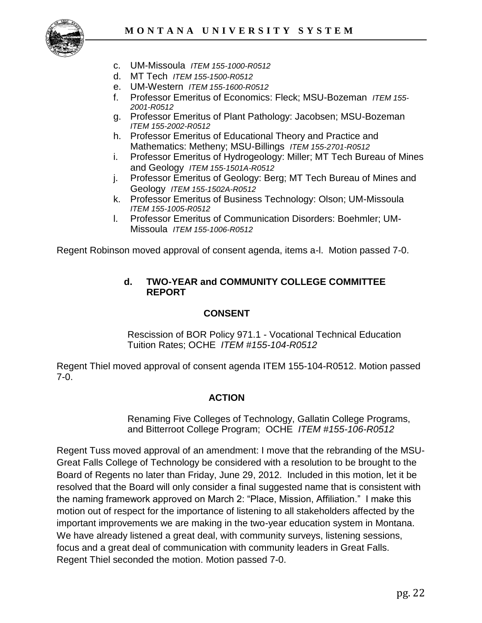

- c. UM-Missoula *ITEM 155-1000-R0512*
- d. MT Tech *ITEM 155-1500-R0512*
- e. UM-Western *ITEM 155-1600-R0512*
- f. Professor Emeritus of Economics: Fleck; MSU-Bozeman *ITEM 155- 2001-R0512*
- g. Professor Emeritus of Plant Pathology: Jacobsen; MSU-Bozeman *ITEM 155-2002-R0512*
- h. Professor Emeritus of Educational Theory and Practice and Mathematics: Metheny; MSU-Billings *ITEM 155-2701-R0512*
- i. Professor Emeritus of Hydrogeology: Miller; MT Tech Bureau of Mines and Geology *ITEM 155-1501A-R0512*
- j. Professor Emeritus of Geology: Berg; MT Tech Bureau of Mines and Geology *ITEM 155-1502A-R0512*
- k. Professor Emeritus of Business Technology: Olson; UM-Missoula *ITEM 155-1005-R0512*
- l. Professor Emeritus of Communication Disorders: Boehmler; UM-Missoula *ITEM 155-1006-R0512*

Regent Robinson moved approval of consent agenda, items a-l. Motion passed 7-0.

### **d. TWO-YEAR and COMMUNITY COLLEGE COMMITTEE REPORT**

### **CONSENT**

Rescission of BOR Policy 971.1 - Vocational Technical Education Tuition Rates; OCHE *ITEM #155-104-R0512* 

Regent Thiel moved approval of consent agenda ITEM 155-104-R0512. Motion passed 7-0.

# **ACTION**

Renaming Five Colleges of Technology, Gallatin College Programs, and Bitterroot College Program; OCHE *ITEM #155-106-R0512*

Regent Tuss moved approval of an amendment: I move that the rebranding of the MSU-Great Falls College of Technology be considered with a resolution to be brought to the Board of Regents no later than Friday, June 29, 2012. Included in this motion, let it be resolved that the Board will only consider a final suggested name that is consistent with the naming framework approved on March 2: "Place, Mission, Affiliation." I make this motion out of respect for the importance of listening to all stakeholders affected by the important improvements we are making in the two-year education system in Montana. We have already listened a great deal, with community surveys, listening sessions, focus and a great deal of communication with community leaders in Great Falls. Regent Thiel seconded the motion. Motion passed 7-0.